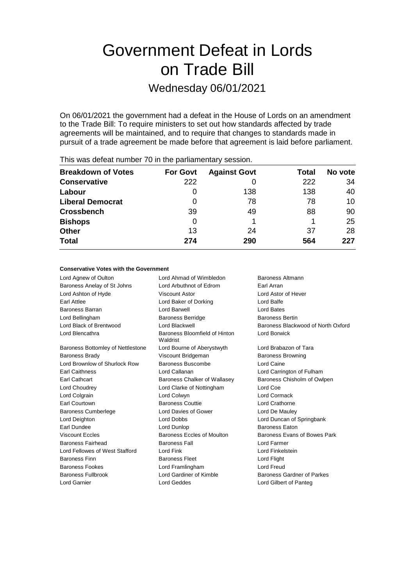# Government Defeat in Lords on Trade Bill

## Wednesday 06/01/2021

On 06/01/2021 the government had a defeat in the House of Lords on an amendment to the Trade Bill: To require ministers to set out how standards affected by trade agreements will be maintained, and to require that changes to standards made in pursuit of a trade agreement be made before that agreement is laid before parliament.

| <b>Breakdown of Votes</b> | <b>For Govt</b> | <b>Against Govt</b> | Total | No vote |  |
|---------------------------|-----------------|---------------------|-------|---------|--|
| <b>Conservative</b>       | 222             |                     | 222   | 34      |  |
| Labour                    | 0               | 138                 | 138   | 40      |  |
| <b>Liberal Democrat</b>   | 0               | 78                  | 78    | 10      |  |
| <b>Crossbench</b>         | 39              | 49                  | 88    | 90      |  |
| <b>Bishops</b>            | 0               |                     |       | 25      |  |
| <b>Other</b>              | 13              | 24                  | 37    | 28      |  |
| <b>Total</b>              | 274             | 290                 | 564   | 227     |  |
|                           |                 |                     |       |         |  |

This was defeat number 70 in the parliamentary session.

#### **Conservative Votes with the Government**

| Lord Agnew of Oulton              | Lord Ahmad of Wimbledon                   | Baroness Altmann                   |  |
|-----------------------------------|-------------------------------------------|------------------------------------|--|
| Baroness Anelay of St Johns       | Lord Arbuthnot of Edrom                   | Earl Arran                         |  |
| Lord Ashton of Hyde               | Viscount Astor                            | Lord Astor of Hever                |  |
| Earl Attlee                       | Lord Baker of Dorking                     | Lord Balfe                         |  |
| Baroness Barran                   | Lord Barwell                              | Lord Bates                         |  |
| Lord Bellingham                   | <b>Baroness Berridge</b>                  | <b>Baroness Bertin</b>             |  |
| Lord Black of Brentwood           | Lord Blackwell                            | Baroness Blackwood of North Oxford |  |
| Lord Blencathra                   | Baroness Bloomfield of Hinton<br>Waldrist | Lord Borwick                       |  |
| Baroness Bottomley of Nettlestone | Lord Bourne of Aberystwyth                | Lord Brabazon of Tara              |  |
| <b>Baroness Brady</b>             | Viscount Bridgeman                        | <b>Baroness Browning</b>           |  |
| Lord Brownlow of Shurlock Row     | Baroness Buscombe                         | Lord Caine                         |  |
| <b>Earl Caithness</b>             | Lord Callanan                             | Lord Carrington of Fulham          |  |
| Earl Cathcart                     | Baroness Chalker of Wallasey              | Baroness Chisholm of Owlpen        |  |
| Lord Choudrey                     | Lord Clarke of Nottingham                 | Lord Coe                           |  |
| Lord Colgrain                     | Lord Colwyn                               | Lord Cormack                       |  |
| <b>Earl Courtown</b>              | <b>Baroness Couttie</b>                   | Lord Crathorne                     |  |
| <b>Baroness Cumberlege</b>        | Lord Davies of Gower                      | Lord De Mauley                     |  |
| Lord Deighton                     | Lord Dobbs                                | Lord Duncan of Springbank          |  |
| Earl Dundee                       | Lord Dunlop                               | <b>Baroness Faton</b>              |  |
| <b>Viscount Eccles</b>            | Baroness Eccles of Moulton                | Baroness Evans of Bowes Park       |  |
| Baroness Fairhead                 | <b>Baroness Fall</b>                      | Lord Farmer                        |  |
| Lord Fellowes of West Stafford    | Lord Fink                                 | Lord Finkelstein                   |  |
| Baroness Finn                     | <b>Baroness Fleet</b>                     | Lord Flight                        |  |
| <b>Baroness Fookes</b>            | Lord Framlingham                          | Lord Freud                         |  |
| Baroness Fullbrook                | Lord Gardiner of Kimble                   | Baroness Gardner of Parkes         |  |
| <b>Lord Garnier</b>               | <b>Lord Geddes</b>                        | Lord Gilbert of Panteg             |  |
|                                   |                                           |                                    |  |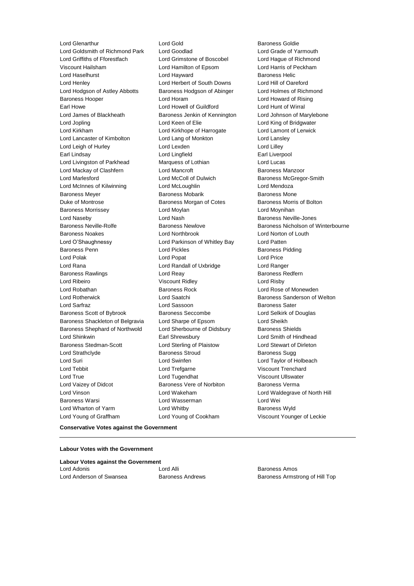Lord Glenarthur **Lord Gold Lord Gold College Container College College College College College College College College College College Cord Goodled Lord Golds Cord Goodle Cord Goodle Cord Goodle Cord Cord Goodle Cord Cord** Lord Goldsmith of Richmond Park<br>Lord Griffiths of Fforestfach Viscount Hailsham Lord Hamilton of Epsom Lord Harris of Peckham Lord Haselhurst **Lord Hayward** Baroness Helic Lord Henley Lord Herbert of South Downs Lord Hill of Oareford Lord Hodgson of Astley Abbotts Baroness Hodgson of Abinger Lord Holmes of Richmond Baroness Hooper Lord Horam Lord Howard of Rising Earl Howe Lord Howell of Guildford Lord Hunt of Wirral Lord James of Blackheath Baroness Jenkin of Kennington Lord Johnson of Marylebone Lord Jopling Lord Keen of Elie Lord King of Bridgwater Lord Kirkham Lord Kirkhope of Harrogate Lord Lamont of Lerwick Lord Lancaster of Kimbolton Lord Lang of Monkton Lord Lansley Lord Leigh of Hurley Lord Lexden Lord Lilley Earl Lindsay Lord Lingfield Earl Liverpool Lord Livingston of Parkhead Marquess of Lothian Lord Lucas Lord Mackay of Clashfern **Lord Mancroft Baroness Manzoor** Baroness Manzoor Lord Marlesford Lord McColl of Dulwich Baroness McGregor-Smith Lord McInnes of Kilwinning Lord McLoughlin Lord Mendoza Baroness Meyer **Baroness Mobarik** Baroness Mobarik Baroness Mone Duke of Montrose Baroness Morgan of Cotes Baroness Morris of Bolton Baroness Morrissey **Lord Moylan** Lord Moylan Lord Moynihan Lord Naseby **Lord Nash Baroness Neville-Jones** Lord Nash Baroness Neville-Jones Baroness Neville-Rolfe **Baroness Newlove** Baroness Newlove **Baroness Nicholson of Winterbourne** Baroness Noakes Lord Northbrook Lord Norton of Louth Lord O'Shaughnessy Lord Parkinson of Whitley Bay Lord Patten Baroness Penn **Baroness Pidding** Lord Pickles **Baroness Pidding** Baroness Pidding Lord Polak **Lord Popat Lord Popat Construction** Lord Price Lord Rana Lord Randall of Uxbridge Lord Ranger Baroness Rawlings **Baroness Realists** Lord Reay **Baroness Redfern** Lord Ribeiro Viscount Ridley Lord Risby Lord Robathan **Baroness Rock** Lord Rose of Monewden Lord Rotherwick **Lord Saatchi** Baroness Sanderson of Welton Lord Sarfraz Lord Sassoon Baroness Sater Baroness Scott of Bybrook Baroness Seccombe Lord Selkirk of Douglas Baroness Shackleton of Belgravia Lord Sharpe of Epsom Lord Sheikh Baroness Shephard of Northwold Lord Sherbourne of Didsbury Baroness Shields Lord Shinkwin Earl Shrewsbury Lord Smith of Hindhead Baroness Stedman-Scott Lord Sterling of Plaistow Lord Stewart of Dirleton Lord Strathclyde **Baroness Stroud** Baroness Sugg Baroness Sugg Lord Suri Lord Swinfen Lord Taylor of Holbeach Lord Tebbit Lord Trefgarne Viscount Trenchard Lord True **Lord Tugendhat** Viscount Ullswater Lord Vaizey of Didcot **Baroness Vere of Norbiton** Baroness Verma Lord Vinson Lord Wakeham Lord Waldegrave of North Hill Baroness Warsi Lord Wasserman Lord Wei Lord Wharton of Yarm **Lord Whitby Baroness Wyld** Lord Young of Graffham Lord Young of Cookham Viscount Younger of Leckie

Lord Grimstone of Boscobel Lord Hague of Richmond

**Conservative Votes against the Government**

#### **Labour Votes with the Government**

| <b>Labour Votes against the Government</b> |                         |  |  |  |
|--------------------------------------------|-------------------------|--|--|--|
| Lord Adonis                                | Lord Alli               |  |  |  |
| Lord Anderson of Swansea                   | <b>Baroness Andrews</b> |  |  |  |

Baroness Amos Baroness Armstrong of Hill Top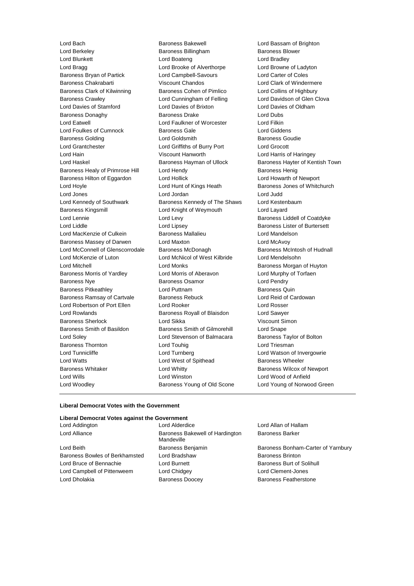Lord Bach **Baroness Bakewell Baroness Bakewell Lord Bassam of Brighton** Lord Berkeley Baroness Billingham Baroness Blower Lord Blunkett Lord Boateng Lord Bradley Lord Bragg **Lord Brooke of Alverthorpe** Lord Browne of Ladyton Baroness Bryan of Partick Lord Campbell-Savours Lord Carter of Coles Baroness Chakrabarti Viscount Chandos Lord Clark of Windermere Baroness Clark of Kilwinning **Baroness Cohen of Pimlico** Lord Collins of Highbury Baroness Crawley Lord Cunningham of Felling Lord Davidson of Glen Clova Lord Davies of Stamford Lord Davies of Brixton Lord Davies of Oldham Baroness Donaghy Baroness Drake Lord Dubs Lord Eatwell Lord Faulkner of Worcester Lord Filkin Lord Foulkes of Cumnock Baroness Gale Lord Giddens Baroness Golding **Constanting Construction Construction Construction** Baroness Goudie Lord Grantchester Lord Griffiths of Burry Port Lord Grocott Lord Hain Viscount Hanworth Lord Harris of Haringey Lord Haskel **Baroness Hayman of Ullock** Baroness Hayter of Kentish Town Baroness Healy of Primrose Hill Lord Hendy Communication Baroness Henig Baroness Hilton of Eggardon Lord Hollick Lord Howarth of Newport Lord Hoyle Lord Hunt of Kings Heath Baroness Jones of Whitchurch Lord Jones Lord Jordan Lord Judd Lord Kennedy of Southwark **Baroness Kennedy of The Shaws** Lord Kestenbaum Baroness Kingsmill **Lord Knight of Weymouth** Lord Layard Lord Lennie **Lord Levy** Lord Levy **Baroness Liddell of Coatdyke** Lord Liddle Lord Lipsey Baroness Lister of Burtersett Lord MacKenzie of Culkein **Baroness Mallalieu** Lord Mandelson Baroness Massey of Darwen Lord Maxton Lord McAvoy Lord McConnell of Glenscorrodale Baroness McDonagh Baroness Mc Baroness McIntosh of Hudnall Lord McKenzie of Luton Lord McNicol of West Kilbride Lord Mendelsohn Lord Mitchell Lord Monks Baroness Morgan of Huyton Baroness Morris of Yardley Lord Morris of Aberavon Lord Murphy of Torfaen Baroness Nye Baroness Osamor Lord Pendry Baroness Pitkeathley **Example 20** Lord Puttnam **Baroness Quin** Baroness Quin Baroness Ramsay of Cartvale **Baroness Rebuck Baroness Reformation** Lord Reid of Cardowan Lord Robertson of Port Ellen Lord Rooker Lord Rosser Lord Rowlands Baroness Royall of Blaisdon Lord Sawyer Baroness Sherlock Lord Sikka Viscount Simon Baroness Smith of Basildon Baroness Smith of Gilmorehill Lord Snape Lord Soley Lord Stevenson of Balmacara Baroness Taylor of Bolton Baroness Thornton **Lord Touhig Lord Triesman** Lord Triesman Lord Tunnicliffe Lord Turnberg Lord Watson of Invergowrie Lord Watts **Lord West of Spithead** Baroness Wheeler Baroness Whitaker **Lord Whitty Communist Example 2** Baroness Wilcox of Newport Lord Wills Lord Winston Lord Wood of Anfield Lord Woodley Baroness Young of Old Scone Lord Young of Norwood Green

#### **Liberal Democrat Votes with the Government**

### **Liberal Democrat Votes against the Government**

Lord Beith Baroness Benjamin Baroness Bonham-Carter of Yarnbury Baroness Bowles of Berkhamsted Lord Bradshaw Baroness Brinton Lord Bruce of Bennachie **Lord Burnett** Lord Burnett **Baroness Burt of Solihull** Lord Campbell of Pittenweem Lord Chidgey Lord Clement-Jones Lord Dholakia Baroness Doocey Baroness Featherstone

Lord Addington Lord Alderdice Lord Allan of Hallam Lord Alliance **Baroness Bakewell of Hardington** Mandeville

Baroness Barker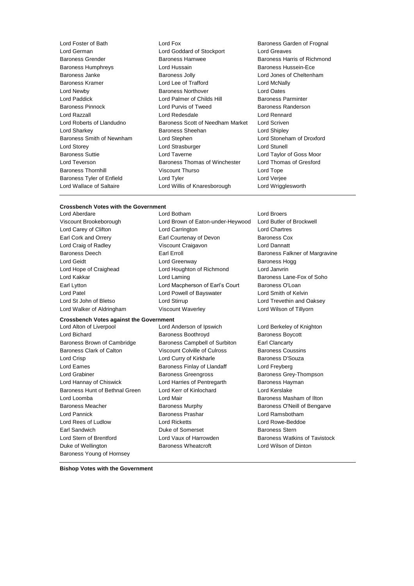Lord Foster of Bath **Lord Fox** Lord Fox **Baroness Garden of Frognal** Lord German Lord Goddard of Stockport Lord Greaves Baroness Grender Baroness Hamwee Baroness Harris of Richmond Baroness Humphreys Lord Hussain Baroness Hussein-Ece Baroness Janke Baroness Jolly Lord Jones of Cheltenham Baroness Kramer Lord Lee of Trafford Lord McNally Lord Newby Baroness Northover Lord Oates Lord Paddick Lord Palmer of Childs Hill Baroness Parminter Baroness Pinnock **Lord Purvis of Tweed** Baroness Randerson Lord Razzall Lord Redesdale Lord Rennard Lord Roberts of Llandudno Baroness Scott of Needham Market Lord Scriven Lord Sharkey **Baroness Sheehan** Lord Shipley Baroness Smith of Newnham Lord Stephen Lord Stoneham of Droxford Lord Storey **Lord Strasburger** Lord Strasburger **Lord Strasburger** Lord Stunell Baroness Suttie Lord Taverne Lord Taylor of Goss Moor Lord Teverson **Baroness Thomas of Winchester** Lord Thomas of Gresford Baroness Thornhill Viscount Thurso Lord Tope Baroness Tyler of Enfield Lord Tyler Lord Tyler Lord Verjee Lord Wallace of Saltaire **Lord Willis of Knaresborough** Lord Wrigglesworth

#### **Crossbench Votes with the Government**

Viscount Brookeborough Lord Brown of Eaton-under-Heywood Lord Butler of Brockwell Lord Carey of Clifton Lord Carrington Lord Chartres Earl Cork and Orrery Earl Courtenay of Devon Baroness Cox Lord Craig of Radley Viscount Craigavon Lord Dannatt Baroness Deech **Earl Erroll** Earl Erroll **Example 20** Baroness Falkner of Margravine Lord Geidt **Contact Contact Contact Lord Greenway Contact Contact Contact Contact Contact Contact Contact Contact Contact Contact Contact Contact Contact Contact Contact Contact Contact Contact Contact Contact Contact Co** Lord Hope of Craighead Lord Houghton of Richmond Lord Janvrin Lord Kakkar **Lord Laming Lord Laming** Baroness Lane-Fox of Soho Earl Lytton **Lord Macpherson of Earl's Court** Baroness O'Loan Lord Patel Lord Powell of Bayswater Lord Smith of Kelvin Lord St John of Bletso Lord Stirrup Lord Trevethin and Oaksey Lord Walker of Aldringham Viscount Waverley Cord Wilson of Tillyorn

# **Crossbench Votes against the Government**

Lord Bichard Baroness Boothroyd Baroness Boycott Baroness Brown of Cambridge Baroness Campbell of Surbiton Earl Clancarty Baroness Clark of Calton **Viscount Colville of Culross** Baroness Coussins Lord Crisp **Lord Curry of Kirkharle** Baroness D'Souza Lord Eames **Baroness Finlay of Llandaff** Lord Freyberg Lord Freyberg Lord Grabiner **Baroness Greengross** Baroness Greengross Baroness Grey-Thompson Lord Hannay of Chiswick **Lord Harries of Pentregarth** Baroness Hayman Baroness Hunt of Bethnal Green Lord Kerr of Kinlochard Lord Kerslake Lord Loomba **Lord Mair Lord Mair** Baroness Masham of Ilton Baroness Meacher Baroness Murphy Baroness O'Neill of Bengarve Lord Pannick Baroness Prashar Lord Ramsbotham Lord Rees of Ludlow Lord Ricketts Lord Rowe-Beddoe Earl Sandwich **Duke of Somerset** Baroness Stern Lord Stern of Brentford Lord Vaux of Harrowden Baroness Watkins of Tavistock Duke of Wellington Baroness Wheatcroft Lord Wilson of Dinton Baroness Young of Hornsey

Lord Anderson of Ipswich Lord Berkeley of Knighton

Lord Aberdare Lord Botham Lord Broers

**Bishop Votes with the Government**